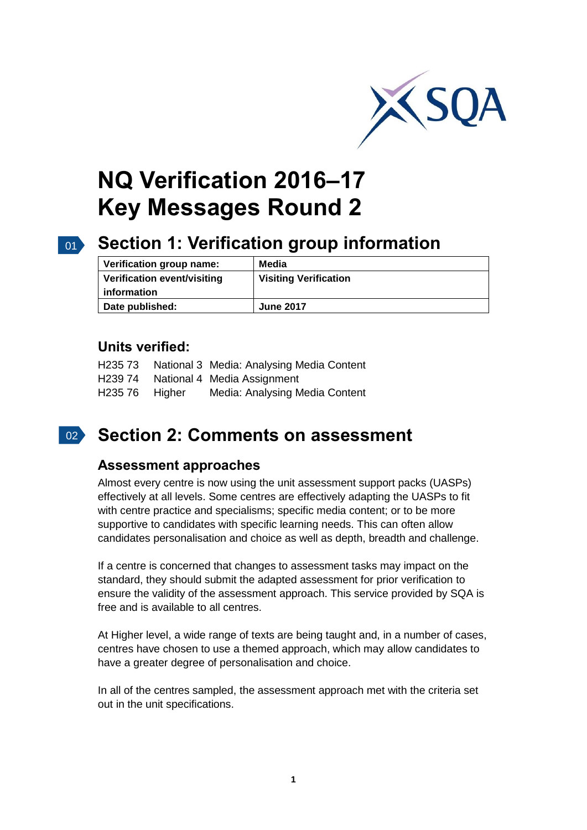

# **NQ Verification 2016–17 Key Messages Round 2**

#### $01<sup>2</sup>$

## **Section 1: Verification group information**

| Verification group name:    | Media                        |
|-----------------------------|------------------------------|
| Verification event/visiting | <b>Visiting Verification</b> |
| information                 |                              |
| Date published:             | <b>June 2017</b>             |

#### **Units verified:**

|                | H235 73 National 3 Media: Analysing Media Content |
|----------------|---------------------------------------------------|
|                | H239 74 National 4 Media Assignment               |
| H235 76 Higher | Media: Analysing Media Content                    |

### 02 **Section 2: Comments on assessment**

#### **Assessment approaches**

Almost every centre is now using the unit assessment support packs (UASPs) effectively at all levels. Some centres are effectively adapting the UASPs to fit with centre practice and specialisms; specific media content; or to be more supportive to candidates with specific learning needs. This can often allow candidates personalisation and choice as well as depth, breadth and challenge.

If a centre is concerned that changes to assessment tasks may impact on the standard, they should submit the adapted assessment for prior verification to ensure the validity of the assessment approach. This service provided by SQA is free and is available to all centres.

At Higher level, a wide range of texts are being taught and, in a number of cases, centres have chosen to use a themed approach, which may allow candidates to have a greater degree of personalisation and choice.

In all of the centres sampled, the assessment approach met with the criteria set out in the unit specifications.